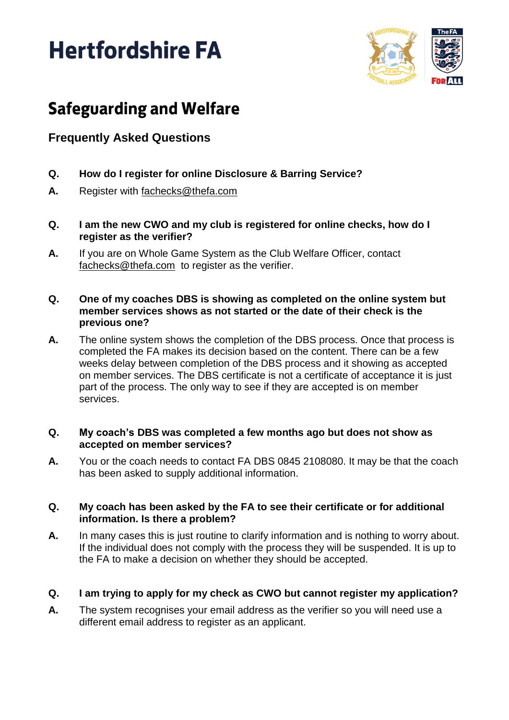# **Hertfordshire FA**



## **Safeguarding and Welfare**

### **Frequently Asked Questions**

- **Q. How do I register for online Disclosure & Barring Service?**
- **A.** Register with [fachecks@thefa.com](mailto:fachecks@thefa.com)
- **Q. I am the new CWO and my club is registered for online checks, how do I register as the verifier?**
- **A.** If you are on Whole Game System as the Club Welfare Officer, contact [fachecks@thefa.com](mailto:fachecks@thefa.com) to register as the verifier.
- **Q. One of my coaches DBS is showing as completed on the online system but member services shows as not started or the date of their check is the previous one?**
- **A.** The online system shows the completion of the DBS process. Once that process is completed the FA makes its decision based on the content. There can be a few weeks delay between completion of the DBS process and it showing as accepted on member services. The DBS certificate is not a certificate of acceptance it is just part of the process. The only way to see if they are accepted is on member services.

#### **Q. My coach's DBS was completed a few months ago but does not show as accepted on member services?**

**A.** You or the coach needs to contact FA DBS 0845 2108080. It may be that the coach has been asked to supply additional information.

#### **Q. My coach has been asked by the FA to see their certificate or for additional information. Is there a problem?**

**A.** In many cases this is just routine to clarify information and is nothing to worry about. If the individual does not comply with the process they will be suspended. It is up to the FA to make a decision on whether they should be accepted.

#### **Q. I am trying to apply for my check as CWO but cannot register my application?**

**A.** The system recognises your email address as the verifier so you will need use a different email address to register as an applicant.